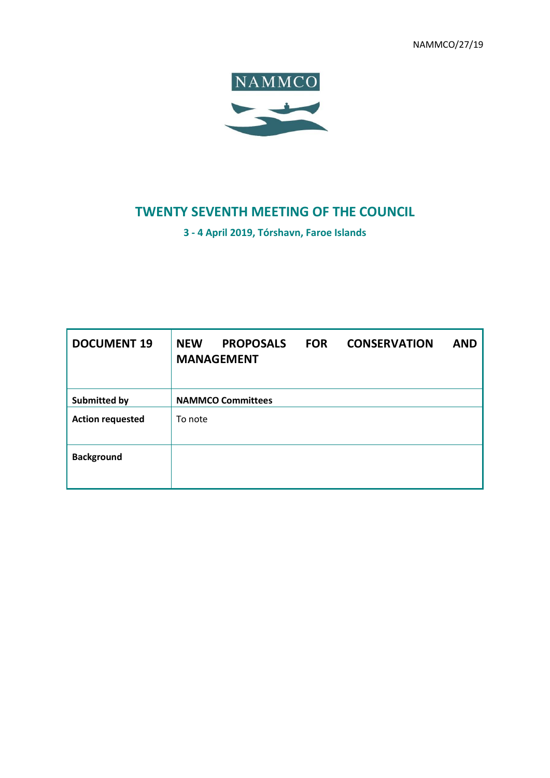NAMMCO/27/19



# **TWENTY SEVENTH MEETING OF THE COUNCIL**

**3 - 4 April 2019, Tórshavn, Faroe Islands**

| <b>DOCUMENT 19</b>      | <b>NEW</b><br><b>PROPOSALS</b><br><b>MANAGEMENT</b> | <b>FOR</b> | <b>CONSERVATION</b> | <b>AND</b> |
|-------------------------|-----------------------------------------------------|------------|---------------------|------------|
| Submitted by            | <b>NAMMCO Committees</b>                            |            |                     |            |
| <b>Action requested</b> | To note                                             |            |                     |            |
| <b>Background</b>       |                                                     |            |                     |            |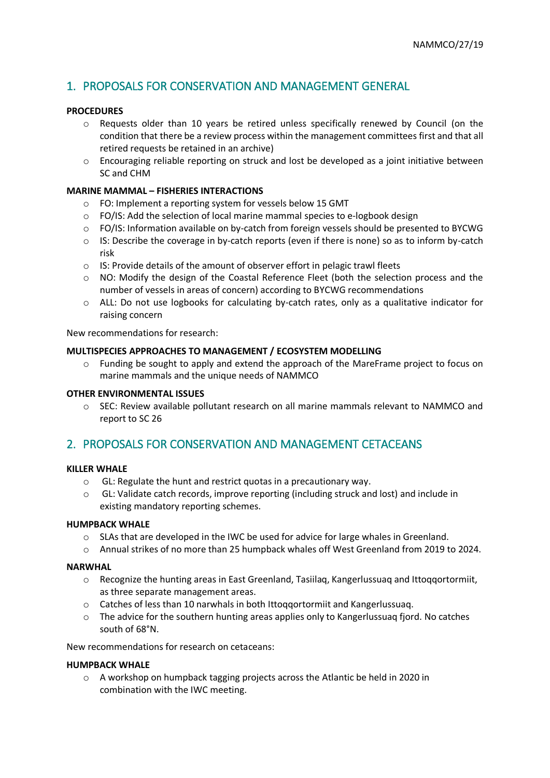# 1. PROPOSALS FOR CONSERVATION AND MANAGEMENT GENERAL

# **PROCEDURES**

- o Requests older than 10 years be retired unless specifically renewed by Council (on the condition that there be a review process within the management committees first and that all retired requests be retained in an archive)
- $\circ$  Encouraging reliable reporting on struck and lost be developed as a joint initiative between SC and CHM

# **MARINE MAMMAL – FISHERIES INTERACTIONS**

- o FO: Implement a reporting system for vessels below 15 GMT
- o FO/IS: Add the selection of local marine mammal species to e-logbook design
- $\circ$  FO/IS: Information available on by-catch from foreign vessels should be presented to BYCWG
- $\circ$  IS: Describe the coverage in by-catch reports (even if there is none) so as to inform by-catch risk
- o IS: Provide details of the amount of observer effort in pelagic trawl fleets
- o NO: Modify the design of the Coastal Reference Fleet (both the selection process and the number of vessels in areas of concern) according to BYCWG recommendations
- o ALL: Do not use logbooks for calculating by-catch rates, only as a qualitative indicator for raising concern

New recommendations for research:

### **MULTISPECIES APPROACHES TO MANAGEMENT / ECOSYSTEM MODELLING**

 $\circ$  Funding be sought to apply and extend the approach of the MareFrame project to focus on marine mammals and the unique needs of NAMMCO

#### **OTHER ENVIRONMENTAL ISSUES**

o SEC: Review available pollutant research on all marine mammals relevant to NAMMCO and report to SC 26

# 2. PROPOSALS FOR CONSERVATION AND MANAGEMENT CETACEANS

#### **KILLER WHALE**

- o GL: Regulate the hunt and restrict quotas in a precautionary way.
- o GL: Validate catch records, improve reporting (including struck and lost) and include in existing mandatory reporting schemes.

#### **HUMPBACK WHALE**

- $\circ$  SLAs that are developed in the IWC be used for advice for large whales in Greenland.
- o Annual strikes of no more than 25 humpback whales off West Greenland from 2019 to 2024.

#### **NARWHAL**

- o Recognize the hunting areas in East Greenland, Tasiilaq, Kangerlussuaq and Ittoqqortormiit, as three separate management areas.
- o Catches of less than 10 narwhals in both Ittoqqortormiit and Kangerlussuaq.
- $\circ$  The advice for the southern hunting areas applies only to Kangerlussuaq fjord. No catches south of 68°N.

New recommendations for research on cetaceans:

#### **HUMPBACK WHALE**

 $\circ$  A workshop on humpback tagging projects across the Atlantic be held in 2020 in combination with the IWC meeting.